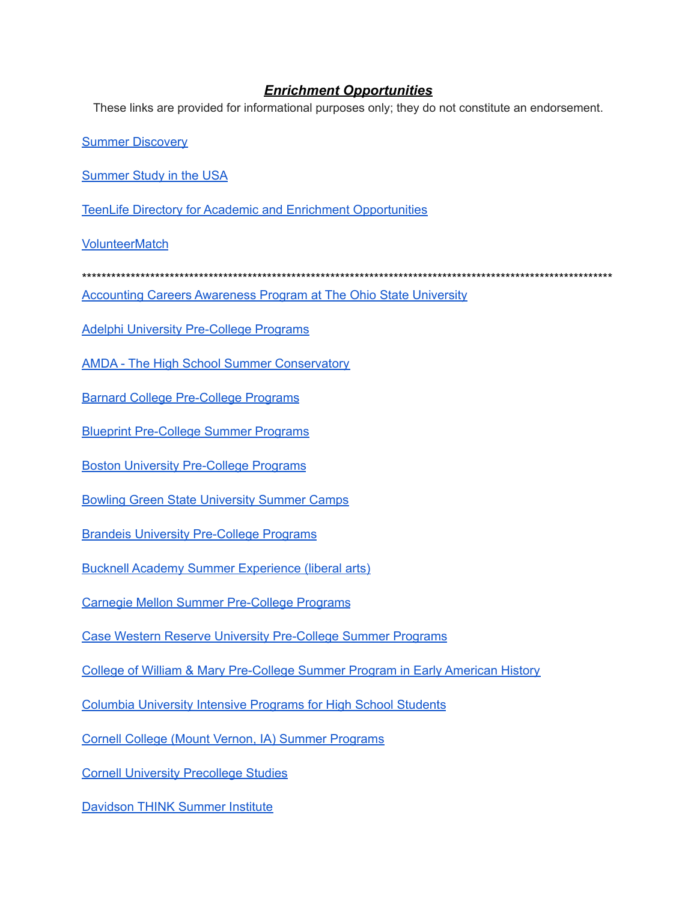## *Enrichment Opportunities*

These links are provided for informational purposes only; they do not constitute an endorsement.

Summer [Discovery](https://www.summerdiscovery.com/)

[Summer](https://www.summerstudyinusa.org/) Study in the USA

TeenLife Directory for Academic and Enrichment [Opportunities](https://www.teenlife.com/)

**[VolunteerMatch](https://www.volunteermatch.org/)** 

\*\*\*\*\*\*\*\*\*\*\*\*\*\*\*\*\*\*\*\*\*\*\*\*\*\*\*\*\*\*\*\*\*\*\*\*\*\*\*\*\*\*\*\*\*\*\*\*\*\*\*\*\*\*\*\*\*\*\*\*\*\*\*\*\*\*\*\*\*\*\*\*\*\*\*\*\*\*\*\*\*\*\*\*\*\*\*\*\*\*\*\*\*\*\*\*\*\*\*\*\*\*\*\*\*\*\*\*\*

[Accounting](https://www.ohiocpa.com/quick-links/the-ohio-cpa-foundation/recruiting-students/acap) Careers Awareness Program at The Ohio State University

Adelphi University [Pre-College](https://www.adelphi.edu/high-school-students/summer-pre-college-program/) Programs

AMDA - The High School Summer [Conservatory](https://www.amda.edu/highschool)

Barnard College [Pre-College](https://precollege.barnard.edu/) Programs

Blueprint [Pre-College](https://www.bpsummerprograms.com/) Summer Programs

Boston University [Pre-College](https://www.bu.edu/summer/high-school-programs/) Programs

Bowling Green State [University](https://www.bgsu.edu/pre-college-programs/summer-academic-and-youth-programs/academic-summer-programs.html) Summer Camps

Brandeis University [Pre-College](https://www.brandeis.edu/precollege/index.html) Programs

Bucknell Academy Summer [Experience](https://www.bucknell.edu/meet-bucknell/plan-visit/camps-conferences-visit-programs/bucknell-academy-summer-experience) (liberal arts)

Carnegie Mellon Summer [Pre-College](https://www.cmu.edu/pre-college/) Programs

Case Western Reserve University [Pre-College](https://summer.case.edu/) Summer Programs

College of William & Mary [Pre-College](https://www.wm.edu/as/niahd/) Summer Program in Early American History

Columbia [University](https://precollege.sps.columbia.edu/highschool?utm_source=ad&utm_content=hs&utm_medium=print&utm_campaign=HS_GCMailing_Ad_Print_2021-12) Intensive Programs for High School Students

Cornell College (Mount Vernon, IA) Summer [Programs](https://www.cornellcollege.edu/summer-programs/)

Cornell University [Precollege](https://sce.cornell.edu/precollege) Studies

[Davidson](https://www.davidsongifted.org/gifted-programs/summer-programs/think-summer/) THINK Summer Institute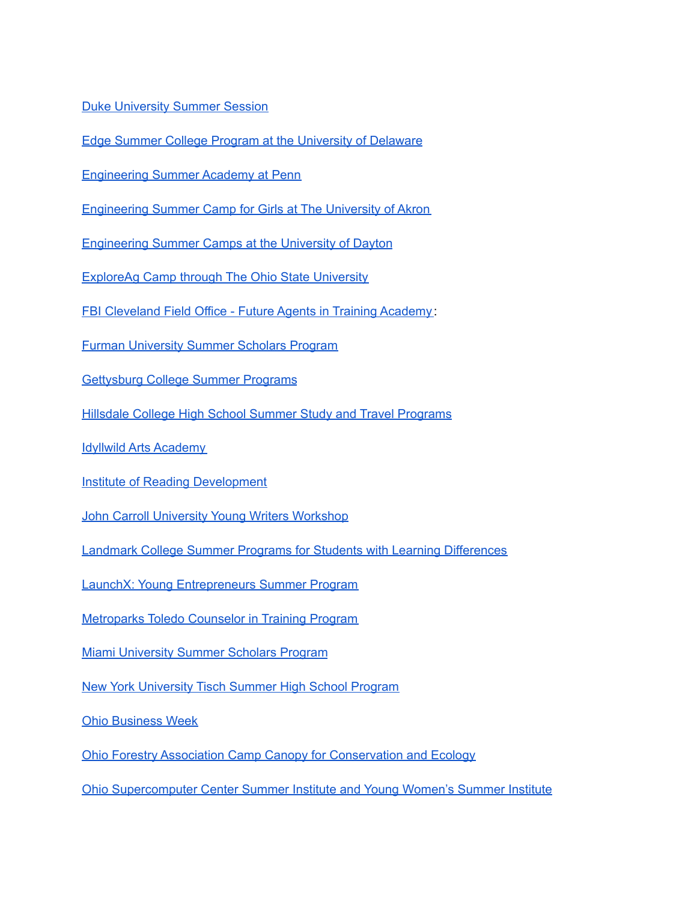Duke [University](https://summersession.duke.edu/) Summer Session

Edge Summer College Program at the [University](https://www.udel.edu/apply/undergraduate-admissions/precollege-programs/edge/) of Delaware

[Engineering](https://esap.seas.upenn.edu/) Summer Academy at Penn

[Engineering](https://uakron.edu/engineering/k12-programs/index.dot) Summer Camp for Girls at The University of Akron

[Engineering](https://udayton.edu/engineering/k-12-programs/index.php) Summer Camps at the University of Dayton

[ExploreAg](https://ofbf.org/community/youth-in-agriculture/exploreag/) Camp through The Ohio State University

FBI [Cleveland](https://www.fbi.gov/contact-us/field-offices/cleveland/community-outreach#Future-Agents) Field Office - Future Agents in Training Academy :

Furman [University](https://www.furman.edu/summer-programs/) Summer Scholars Program

[Gettysburg](https://www.gettysburg.edu/offices/conference-event-services/summer-programs) College Summer Programs

Hillsdale College High School Summer Study and Travel [Programs](https://www.hillsdale.edu/admissions-aid/high-school-study/)

Idyllwild Arts [Academy](https://idyllwildarts.org/summer/teens-kids-2017/)

Institute of Reading [Development](https://readingprograms.org/)

John Carroll University Young Writers [Workshop](https://jcu.edu/academics/english/undergraduate/special-programs/yww)

Landmark College Summer Programs for Students with Learning [Differences](https://www.landmark.edu/summer)

LaunchX: Young [Entrepreneurs](https://launchx.com/) Summer Program

[Metroparks](https://metroparkstoledo.com/cit) Toledo Counselor in Training Program

Miami [University](https://miamioh.edu/admission/high-school/summer-scholars/) Summer Scholars Program

New York [University](https://tisch.nyu.edu/special-programs/high-school-programs) Tisch Summer High School Program

Ohio [Business](https://www.ohiobusinessweek.org/) Week

Ohio Forestry Association Camp Canopy for [Conservation](https://campcanopy.com/) and Ecology

Ohio [Supercomputer](https://www.osc.edu/education/si) Center Summer Institute and Young Women's Summer Institute